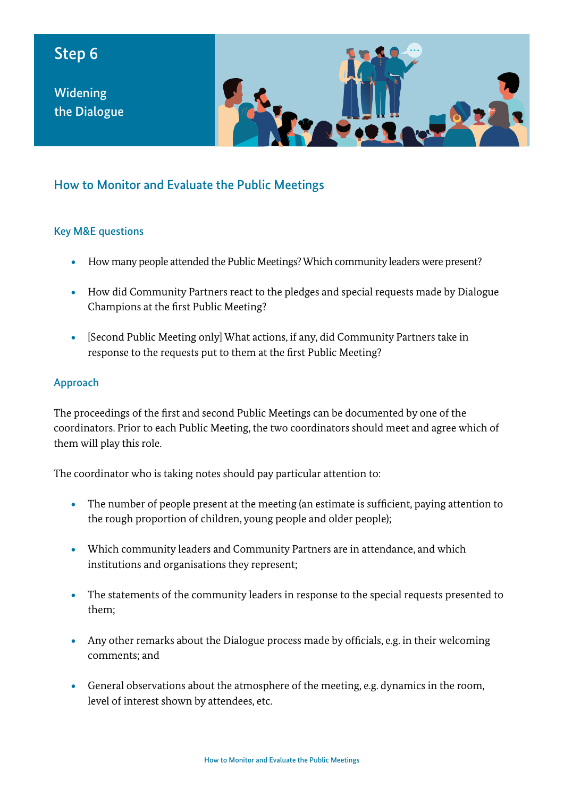## Step 6

Widening the Dialogue



## How to Monitor and Evaluate the Public Meetings

## Key M&E questions

- How many people attended the Public Meetings? Which community leaders were present?
- How did Community Partners react to the pledges and special requests made by Dialogue Champions at the first Public Meeting?
- [Second Public Meeting only] What actions, if any, did Community Partners take in response to the requests put to them at the first Public Meeting?

## Approach

The proceedings of the first and second Public Meetings can be documented by one of the coordinators. Prior to each Public Meeting, the two coordinators should meet and agree which of them will play this role.

The coordinator who is taking notes should pay particular attention to:

- The number of people present at the meeting (an estimate is sufficient, paying attention to the rough proportion of children, young people and older people);
- Which community leaders and Community Partners are in attendance, and which institutions and organisations they represent;
- The statements of the community leaders in response to the special requests presented to them;
- Any other remarks about the Dialogue process made by officials, e.g. in their welcoming comments; and
- General observations about the atmosphere of the meeting, e.g. dynamics in the room, level of interest shown by attendees, etc.